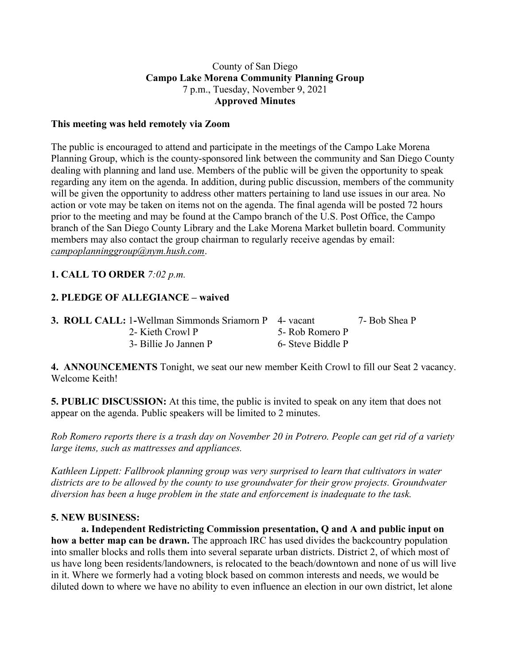### County of San Diego **Campo Lake Morena Community Planning Group** 7 p.m., Tuesday, November 9, 2021 **Approved Minutes**

### **This meeting was held remotely via Zoom**

The public is encouraged to attend and participate in the meetings of the Campo Lake Morena Planning Group, which is the county-sponsored link between the community and San Diego County dealing with planning and land use. Members of the public will be given the opportunity to speak regarding any item on the agenda. In addition, during public discussion, members of the community will be given the opportunity to address other matters pertaining to land use issues in our area. No action or vote may be taken on items not on the agenda. The final agenda will be posted 72 hours prior to the meeting and may be found at the Campo branch of the U.S. Post Office, the Campo branch of the San Diego County Library and the Lake Morena Market bulletin board. Community members may also contact the group chairman to regularly receive agendas by email: *campoplanninggroup@nym.hush.com*.

## **1. CALL TO ORDER** *7:02 p.m.*

## **2. PLEDGE OF ALLEGIANCE – waived**

| <b>3. ROLL CALL: 1-Wellman Simmonds Sriamorn P</b> 4- vacant |                   | 7- Bob Shea P |
|--------------------------------------------------------------|-------------------|---------------|
| 2- Kieth Crowl P                                             | 5- Rob Romero P   |               |
| 3- Billie Jo Jannen P                                        | 6- Steve Biddle P |               |

**4. ANNOUNCEMENTS** Tonight, we seat our new member Keith Crowl to fill our Seat 2 vacancy. Welcome Keith!

**5. PUBLIC DISCUSSION:** At this time, the public is invited to speak on any item that does not appear on the agenda. Public speakers will be limited to 2 minutes.

Rob Romero reports there is a trash day on November 20 in Potrero. People can get rid of a variety *large items, such as mattresses and appliances.*

*Kathleen Lippett: Fallbrook planning group was very surprised to learn that cultivators in water districts are to be allowed by the county to use groundwater for their grow projects. Groundwater diversion has been a huge problem in the state and enforcement is inadequate to the task.*

#### **5. NEW BUSINESS:**

**a. Independent Redistricting Commission presentation, Q and A and public input on how a better map can be drawn.** The approach IRC has used divides the backcountry population into smaller blocks and rolls them into several separate urban districts. District 2, of which most of us have long been residents/landowners, is relocated to the beach/downtown and none of us will live in it. Where we formerly had a voting block based on common interests and needs, we would be diluted down to where we have no ability to even influence an election in our own district, let alone